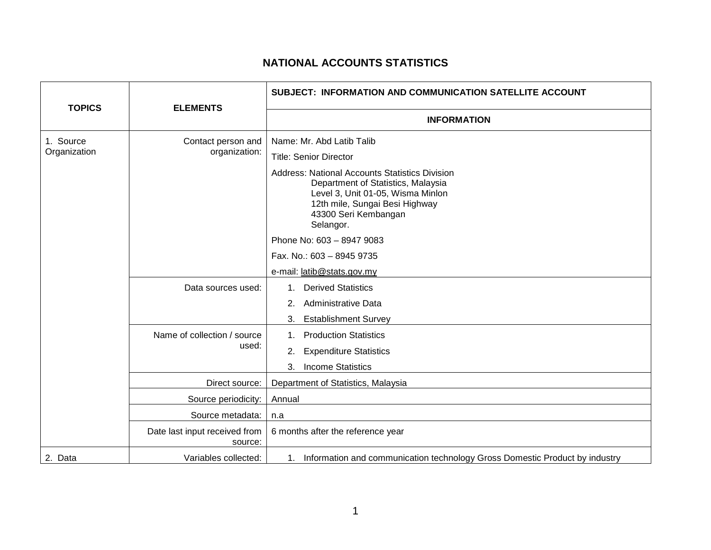## **NATIONAL ACCOUNTS STATISTICS**

| <b>TOPICS</b>             | <b>ELEMENTS</b>                          | <b>SUBJECT: INFORMATION AND COMMUNICATION SATELLITE ACCOUNT</b>                                                                                                                                         |
|---------------------------|------------------------------------------|---------------------------------------------------------------------------------------------------------------------------------------------------------------------------------------------------------|
|                           |                                          | <b>INFORMATION</b>                                                                                                                                                                                      |
| 1. Source<br>Organization | Contact person and<br>organization:      | Name: Mr. Abd Latib Talib                                                                                                                                                                               |
|                           |                                          | <b>Title: Senior Director</b>                                                                                                                                                                           |
|                           |                                          | <b>Address: National Accounts Statistics Division</b><br>Department of Statistics, Malaysia<br>Level 3, Unit 01-05, Wisma Minlon<br>12th mile, Sungai Besi Highway<br>43300 Seri Kembangan<br>Selangor. |
|                           |                                          | Phone No: 603 - 8947 9083                                                                                                                                                                               |
|                           |                                          | Fax. No.: 603 - 8945 9735                                                                                                                                                                               |
|                           |                                          | e-mail: latib@stats.gov.my                                                                                                                                                                              |
|                           | Data sources used:                       | <b>Derived Statistics</b><br>1.                                                                                                                                                                         |
|                           |                                          | Administrative Data<br>2.                                                                                                                                                                               |
|                           |                                          | <b>Establishment Survey</b><br>3.                                                                                                                                                                       |
|                           | Name of collection / source<br>used:     | <b>Production Statistics</b><br>$1_{\cdot}$                                                                                                                                                             |
|                           |                                          | <b>Expenditure Statistics</b><br>2.                                                                                                                                                                     |
|                           |                                          | <b>Income Statistics</b><br>3.                                                                                                                                                                          |
|                           | Direct source:                           | Department of Statistics, Malaysia                                                                                                                                                                      |
|                           | Source periodicity:                      | Annual                                                                                                                                                                                                  |
|                           | Source metadata:                         | n.a                                                                                                                                                                                                     |
|                           | Date last input received from<br>source: | 6 months after the reference year                                                                                                                                                                       |
| 2. Data                   | Variables collected:                     | 1. Information and communication technology Gross Domestic Product by industry                                                                                                                          |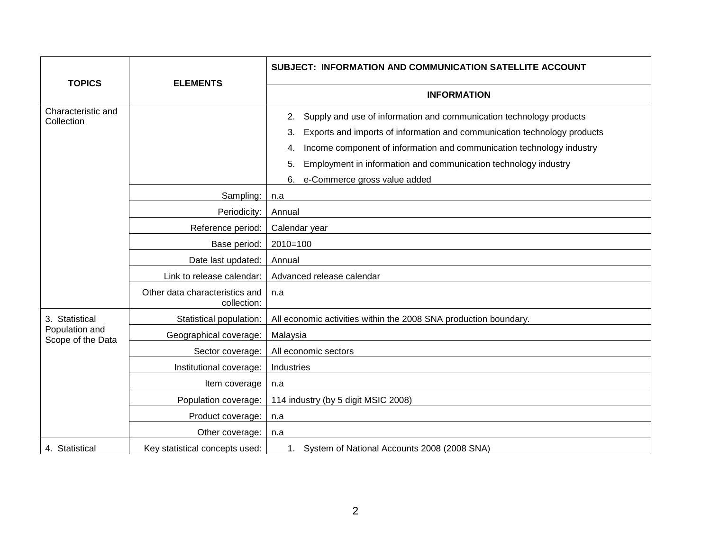| <b>TOPICS</b>                       | <b>ELEMENTS</b>                               | <b>SUBJECT: INFORMATION AND COMMUNICATION SATELLITE ACCOUNT</b>                                                                                                                                                                                                                                                                                           |
|-------------------------------------|-----------------------------------------------|-----------------------------------------------------------------------------------------------------------------------------------------------------------------------------------------------------------------------------------------------------------------------------------------------------------------------------------------------------------|
|                                     |                                               | <b>INFORMATION</b>                                                                                                                                                                                                                                                                                                                                        |
| Characteristic and<br>Collection    |                                               | Supply and use of information and communication technology products<br>2.<br>Exports and imports of information and communication technology products<br>3.<br>Income component of information and communication technology industry<br>4.<br>Employment in information and communication technology industry<br>5.<br>e-Commerce gross value added<br>6. |
|                                     | Sampling:                                     | n.a                                                                                                                                                                                                                                                                                                                                                       |
|                                     | Periodicity:                                  | Annual                                                                                                                                                                                                                                                                                                                                                    |
|                                     | Reference period:                             | Calendar year                                                                                                                                                                                                                                                                                                                                             |
|                                     | Base period:                                  | $2010=100$                                                                                                                                                                                                                                                                                                                                                |
|                                     | Date last updated:                            | Annual                                                                                                                                                                                                                                                                                                                                                    |
|                                     | Link to release calendar:                     | Advanced release calendar                                                                                                                                                                                                                                                                                                                                 |
|                                     | Other data characteristics and<br>collection: | n.a                                                                                                                                                                                                                                                                                                                                                       |
| 3. Statistical                      | Statistical population:                       | All economic activities within the 2008 SNA production boundary.                                                                                                                                                                                                                                                                                          |
| Population and<br>Scope of the Data | Geographical coverage:                        | Malaysia                                                                                                                                                                                                                                                                                                                                                  |
|                                     | Sector coverage:                              | All economic sectors                                                                                                                                                                                                                                                                                                                                      |
|                                     | Institutional coverage:                       | Industries                                                                                                                                                                                                                                                                                                                                                |
|                                     | Item coverage                                 | n.a                                                                                                                                                                                                                                                                                                                                                       |
|                                     | Population coverage:                          | 114 industry (by 5 digit MSIC 2008)                                                                                                                                                                                                                                                                                                                       |
|                                     | Product coverage:                             | n.a                                                                                                                                                                                                                                                                                                                                                       |
|                                     | Other coverage:                               | n.a                                                                                                                                                                                                                                                                                                                                                       |
| 4. Statistical                      | Key statistical concepts used:                | 1. System of National Accounts 2008 (2008 SNA)                                                                                                                                                                                                                                                                                                            |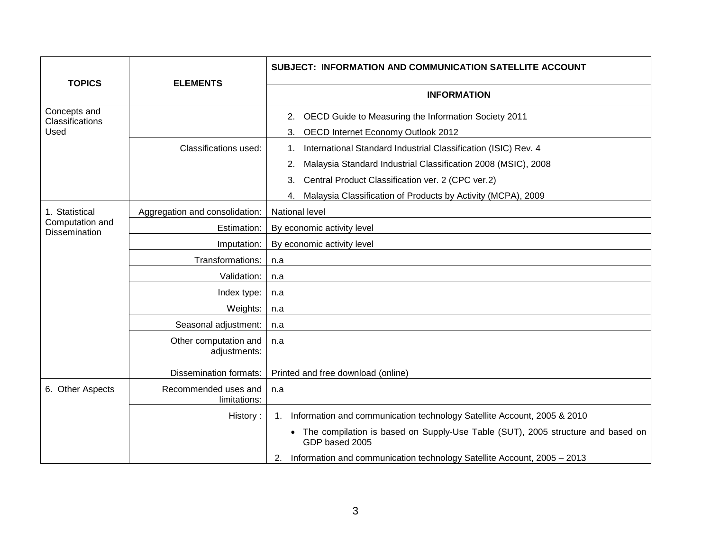| <b>TOPICS</b>                                             | <b>ELEMENTS</b>                       | SUBJECT: INFORMATION AND COMMUNICATION SATELLITE ACCOUNT                                                                                                                                                                                                                     |
|-----------------------------------------------------------|---------------------------------------|------------------------------------------------------------------------------------------------------------------------------------------------------------------------------------------------------------------------------------------------------------------------------|
|                                                           |                                       | <b>INFORMATION</b>                                                                                                                                                                                                                                                           |
| Concepts and<br>Classifications<br>Used                   |                                       | OECD Guide to Measuring the Information Society 2011<br>2.<br>OECD Internet Economy Outlook 2012<br>3.                                                                                                                                                                       |
|                                                           | Classifications used:                 | International Standard Industrial Classification (ISIC) Rev. 4<br>1.<br>Malaysia Standard Industrial Classification 2008 (MSIC), 2008<br>2.<br>Central Product Classification ver. 2 (CPC ver.2)<br>3.<br>Malaysia Classification of Products by Activity (MCPA), 2009<br>4. |
| 1. Statistical<br>Computation and<br><b>Dissemination</b> | Aggregation and consolidation:        | <b>National level</b>                                                                                                                                                                                                                                                        |
|                                                           | Estimation:                           | By economic activity level                                                                                                                                                                                                                                                   |
|                                                           | Imputation:                           | By economic activity level                                                                                                                                                                                                                                                   |
|                                                           | Transformations:                      | n.a                                                                                                                                                                                                                                                                          |
|                                                           | Validation:                           | n.a                                                                                                                                                                                                                                                                          |
|                                                           | Index type:                           | n.a                                                                                                                                                                                                                                                                          |
|                                                           | Weights:                              | n.a                                                                                                                                                                                                                                                                          |
|                                                           | Seasonal adjustment:                  | n.a                                                                                                                                                                                                                                                                          |
|                                                           | Other computation and<br>adjustments: | n.a                                                                                                                                                                                                                                                                          |
|                                                           | <b>Dissemination formats:</b>         | Printed and free download (online)                                                                                                                                                                                                                                           |
| 6. Other Aspects                                          | Recommended uses and<br>limitations:  | n.a                                                                                                                                                                                                                                                                          |
|                                                           | History:                              | Information and communication technology Satellite Account, 2005 & 2010<br>1.                                                                                                                                                                                                |
|                                                           |                                       | The compilation is based on Supply-Use Table (SUT), 2005 structure and based on<br>GDP based 2005                                                                                                                                                                            |
|                                                           |                                       | Information and communication technology Satellite Account, 2005 - 2013<br>2.                                                                                                                                                                                                |